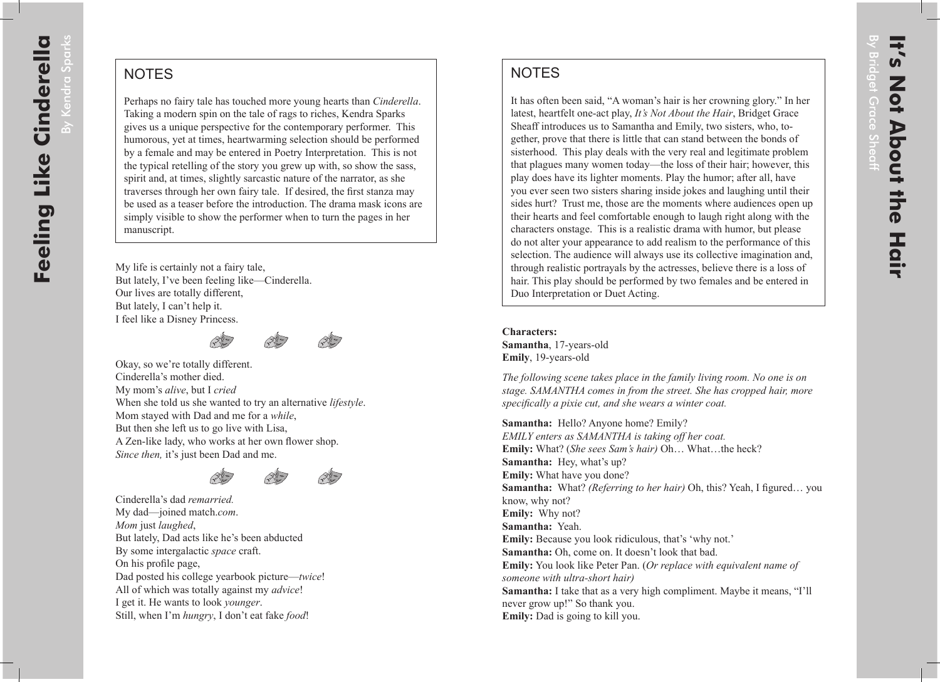By Kendra

Sparks

## **NOTES**

Perhaps no fairy tale has touched more young hearts than *Cinderella*. Taking a modern spin on the tale of rags to riches, Kendra Sparks gives us a unique perspective for the contemporary performer. This humorous, yet at times, heartwarming selection should be performed by a female and may be entered in Poetry Interpretation. This is not the typical retelling of the story you grew up with, so show the sass, spirit and, at times, slightly sarcastic nature of the narrator, as she traverses through her own fairy tale. If desired, the first stanza may be used as a teaser before the introduction. The drama mask icons are simply visible to show the performer when to turn the pages in her manuscript.

My life is certainly not a fairy tale, But lately, I've been feeling like—Cinderella. Our lives are totally different, But lately, I can't help it. I feel like a Disney Princess.





Okay, so we're totally different. Cinderella's mother died. My mom's *alive*, but I *cried* When she told us she wanted to try an alternative *lifestyle*. Mom stayed with Dad and me for a *while*, But then she left us to go live with Lisa, A Zen-like lady, who works at her own flower shop. *Since then,* it's just been Dad and me.





Cinderella's dad *remarried.* My dad—joined match.*com*. *Mom* just *laughed*, But lately, Dad acts like he's been abducted By some intergalactic *space* craft. On his profile page, Dad posted his college yearbook picture—*twice*! All of which was totally against my *advice*! I get it. He wants to look *younger*. Still, when I'm *hungry*, I don't eat fake *food*!